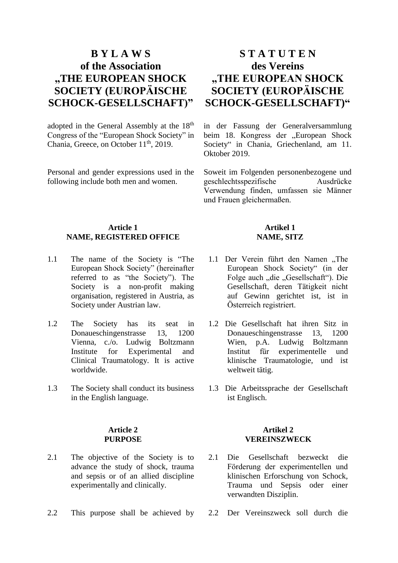# **B Y L A W S of the Association "THE EUROPEAN SHOCK SOCIETY (EUROPÄISCHE SCHOCK-GESELLSCHAFT)"**

adopted in the General Assembly at the 18<sup>th</sup> Congress of the "European Shock Society" in Chania, Greece, on October 11<sup>th</sup>, 2019.

Personal and gender expressions used in the following include both men and women.

# **S T A T U T E N des Vereins "THE EUROPEAN SHOCK SOCIETY (EUROPÄISCHE SCHOCK-GESELLSCHAFT)"**

in der Fassung der Generalversammlung beim 18. Kongress der "European Shock Society" in Chania, Griechenland, am 11. Oktober 2019.

Soweit im Folgenden personenbezogene und geschlechtsspezifische Ausdrücke Verwendung finden, umfassen sie Männer und Frauen gleichermaßen.

# **Article 1 NAME, REGISTERED OFFICE**

- 1.1 The name of the Society is "The European Shock Society" (hereinafter referred to as "the Society"). The Society is a non-profit making organisation, registered in Austria, as Society under Austrian law.
- 1.2 The Society has its seat in Donaueschingenstrasse 13, 1200 Vienna, c./o. Ludwig Boltzmann Institute for Experimental and Clinical Traumatology. It is active worldwide.
- 1.3 The Society shall conduct its business in the English language.

#### **Article 2 PURPOSE**

- 2.1 The objective of the Society is to advance the study of shock, trauma and sepsis or of an allied discipline experimentally and clinically.
- 2.2 This purpose shall be achieved by 2.2 Der Vereinszweck soll durch die

# **Artikel 1 NAME, SITZ**

- 1.1 Der Verein führt den Namen "The European Shock Society" (in der Folge auch "die "Gesellschaft"). Die Gesellschaft, deren Tätigkeit nicht auf Gewinn gerichtet ist, ist in Österreich registriert.
- 1.2 Die Gesellschaft hat ihren Sitz in Donaueschingenstrasse 13, 1200 Wien, p.A. Ludwig Boltzmann Institut für experimentelle und klinische Traumatologie, und ist weltweit tätig.
- 1.3 Die Arbeitssprache der Gesellschaft ist Englisch.

#### **Artikel 2 VEREINSZWECK**

- 2.1 Die Gesellschaft bezweckt die Förderung der experimentellen und klinischen Erforschung von Schock, Trauma und Sepsis oder einer verwandten Disziplin.
-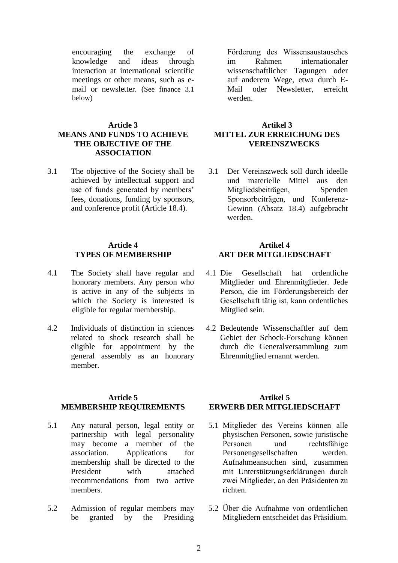encouraging the exchange of knowledge and ideas through interaction at international scientific meetings or other means, such as email or newsletter. (See finance 3.1 below)

# **Article 3 MEANS AND FUNDS TO ACHIEVE THE OBJECTIVE OF THE ASSOCIATION**

3.1 The objective of the Society shall be achieved by intellectual support and use of funds generated by members' fees, donations, funding by sponsors, and conference profit (Article 18.4).

## **Article 4 TYPES OF MEMBERSHIP**

- 4.1 The Society shall have regular and honorary members. Any person who is active in any of the subjects in which the Society is interested is eligible for regular membership.
- 4.2 Individuals of distinction in sciences related to shock research shall be eligible for appointment by the general assembly as an honorary member.

## **Article 5 MEMBERSHIP REQUIREMENTS**

- 5.1 Any natural person, legal entity or partnership with legal personality may become a member of the association. Applications for membership shall be directed to the President with attached recommendations from two active members.
- 5.2 Admission of regular members may be granted by the Presiding

Förderung des Wissensaustausches im Rahmen internationaler wissenschaftlicher Tagungen oder auf anderem Wege, etwa durch E-Mail oder Newsletter, erreicht werden.

# **Artikel 3 MITTEL ZUR ERREICHUNG DES VEREINSZWECKS**

3.1 Der Vereinszweck soll durch ideelle und materielle Mittel aus den Mitgliedsbeiträgen, Spenden Sponsorbeiträgen, und Konferenz-Gewinn (Absatz 18.4) aufgebracht werden.

## **Artikel 4 ART DER MITGLIEDSCHAFT**

- 4.1 Die Gesellschaft hat ordentliche Mitglieder und Ehrenmitglieder. Jede Person, die im Förderungsbereich der Gesellschaft tätig ist, kann ordentliches Mitglied sein.
- 4.2 Bedeutende Wissenschaftler auf dem Gebiet der Schock-Forschung können durch die Generalversammlung zum Ehrenmitglied ernannt werden.

# **Artikel 5 ERWERB DER MITGLIEDSCHAFT**

- 5.1 Mitglieder des Vereins können alle physischen Personen, sowie juristische Personen und rechtsfähige Personengesellschaften werden. Aufnahmeansuchen sind, zusammen mit Unterstützungserklärungen durch zwei Mitglieder, an den Präsidenten zu richten.
- 5.2 Über die Aufnahme von ordentlichen Mitgliedern entscheidet das Präsidium.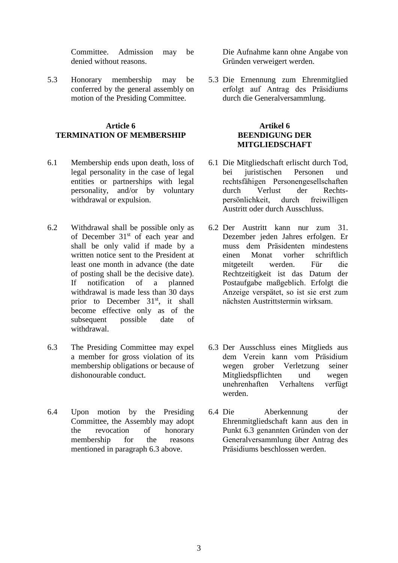Committee. Admission may be denied without reasons.

5.3 Honorary membership may be conferred by the general assembly on motion of the Presiding Committee.

## **Article 6 TERMINATION OF MEMBERSHIP**

- 6.1 Membership ends upon death, loss of legal personality in the case of legal entities or partnerships with legal personality, and/or by voluntary withdrawal or expulsion.
- 6.2 Withdrawal shall be possible only as of December  $31<sup>st</sup>$  of each year and shall be only valid if made by a written notice sent to the President at least one month in advance (the date of posting shall be the decisive date). If notification of a planned withdrawal is made less than 30 days prior to December  $31<sup>st</sup>$ , it shall become effective only as of the subsequent possible date of withdrawal.
- 6.3 The Presiding Committee may expel a member for gross violation of its membership obligations or because of dishonourable conduct.
- 6.4 Upon motion by the Presiding Committee, the Assembly may adopt the revocation of honorary membership for the reasons mentioned in paragraph 6.3 above.

Die Aufnahme kann ohne Angabe von Gründen verweigert werden.

5.3 Die Ernennung zum Ehrenmitglied erfolgt auf Antrag des Präsidiums durch die Generalversammlung.

## **Artikel 6 BEENDIGUNG DER MITGLIEDSCHAFT**

- 6.1 Die Mitgliedschaft erlischt durch Tod, bei juristischen Personen und rechtsfähigen Personengesellschaften durch Verlust der Rechtspersönlichkeit, durch freiwilligen Austritt oder durch Ausschluss.
- 6.2 Der Austritt kann nur zum 31. Dezember jeden Jahres erfolgen. Er muss dem Präsidenten mindestens einen Monat vorher schriftlich mitgeteilt werden. Für die Rechtzeitigkeit ist das Datum der Postaufgabe maßgeblich. Erfolgt die Anzeige verspätet, so ist sie erst zum nächsten Austrittstermin wirksam.
- 6.3 Der Ausschluss eines Mitglieds aus dem Verein kann vom Präsidium wegen grober Verletzung seiner Mitgliedspflichten und wegen unehrenhaften Verhaltens verfügt werden.
- 6.4 Die Aberkennung der Ehrenmitgliedschaft kann aus den in Punkt 6.3 genannten Gründen von der Generalversammlung über Antrag des Präsidiums beschlossen werden.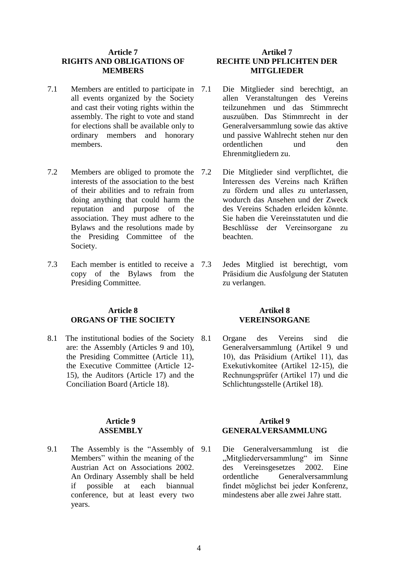#### **Article 7 RIGHTS AND OBLIGATIONS OF MEMBERS**

- 7.1 Members are entitled to participate in 7.1 all events organized by the Society and cast their voting rights within the assembly. The right to vote and stand for elections shall be available only to ordinary members and honorary members.
- 7.2 Members are obliged to promote the interests of the association to the best of their abilities and to refrain from doing anything that could harm the reputation and purpose of the association. They must adhere to the Bylaws and the resolutions made by the Presiding Committee of the Society.
- 7.3 Each member is entitled to receive a copy of the Bylaws from the Presiding Committee.

# **Article 8 ORGANS OF THE SOCIETY**

8.1 The institutional bodies of the Society 8.1 are: the Assembly (Articles 9 and 10), the Presiding Committee (Article 11), the Executive Committee (Article 12- 15), the Auditors (Article 17) and the Conciliation Board (Article 18).

#### **Article 9 ASSEMBLY**

9.1 The Assembly is the "Assembly of 9.1 Members" within the meaning of the Austrian Act on Associations 2002. An Ordinary Assembly shall be held if possible at each biannual conference, but at least every two years.

## **Artikel 7 RECHTE UND PFLICHTEN DER MITGLIEDER**

- Die Mitglieder sind berechtigt, an allen Veranstaltungen des Vereins teilzunehmen und das Stimmrecht auszuüben. Das Stimmrecht in der Generalversammlung sowie das aktive und passive Wahlrecht stehen nur den ordentlichen und den Ehrenmitgliedern zu.
- 7.2 Die Mitglieder sind verpflichtet, die Interessen des Vereins nach Kräften zu fördern und alles zu unterlassen, wodurch das Ansehen und der Zweck des Vereins Schaden erleiden könnte. Sie haben die Vereinsstatuten und die Beschlüsse der Vereinsorgane zu beachten.
- 7.3 Jedes Mitglied ist berechtigt, vom Präsidium die Ausfolgung der Statuten zu verlangen.

## **Artikel 8 VEREINSORGANE**

8.1 Organe des Vereins sind die Generalversammlung (Artikel 9 und 10), das Präsidium (Artikel 11), das Exekutivkomitee (Artikel 12-15), die Rechnungsprüfer (Artikel 17) und die Schlichtungsstelle (Artikel 18).

## **Artikel 9 GENERALVERSAMMLUNG**

9.1 Die Generalversammlung ist die "Mitgliederversammlung" im Sinne des Vereinsgesetzes 2002. Eine ordentliche Generalversammlung findet möglichst bei jeder Konferenz, mindestens aber alle zwei Jahre statt.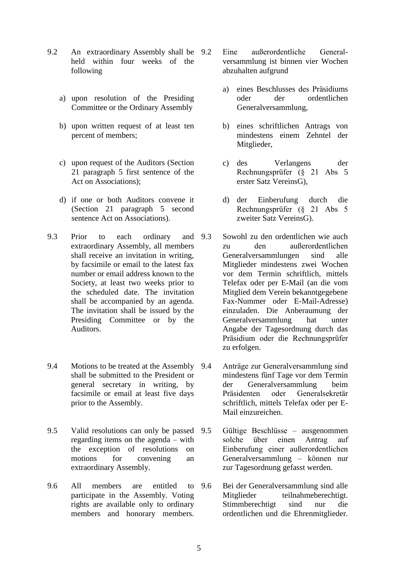- 9.2 An extraordinary Assembly shall be held within four weeks of the following
	- a) upon resolution of the Presiding Committee or the Ordinary Assembly
	- b) upon written request of at least ten percent of members;
	- c) upon request of the Auditors (Section 21 paragraph 5 first sentence of the Act on Associations);
	- d) if one or both Auditors convene it (Section 21 paragraph 5 second sentence Act on Associations).
- 9.3 Prior to each ordinary and 9.3 extraordinary Assembly, all members shall receive an invitation in writing, by facsimile or email to the latest fax number or email address known to the Society, at least two weeks prior to the scheduled date. The invitation shall be accompanied by an agenda. The invitation shall be issued by the Presiding Committee or by the Auditors.
- 9.4 Motions to be treated at the Assembly 9.4 shall be submitted to the President or general secretary in writing, by facsimile or email at least five days prior to the Assembly.
- 9.5 Valid resolutions can only be passed 9.5 regarding items on the agenda – with the exception of resolutions on motions for convening an extraordinary Assembly.
- 9.6 All members are entitled to 9.6 participate in the Assembly. Voting rights are available only to ordinary members and honorary members.
- Eine außerordentliche Generalversammlung ist binnen vier Wochen abzuhalten aufgrund
	- a) eines Beschlusses des Präsidiums oder der ordentlichen Generalversammlung,
	- b) eines schriftlichen Antrags von mindestens einem Zehntel der Mitglieder,
	- c) des Verlangens der Rechnungsprüfer (§ 21 Abs 5 erster Satz VereinsG),
	- d) der Einberufung durch die Rechnungsprüfer (§ 21 Abs 5 zweiter Satz VereinsG).
- 9.3 Sowohl zu den ordentlichen wie auch zu den außerordentlichen Generalversammlungen sind alle Mitglieder mindestens zwei Wochen vor dem Termin schriftlich, mittels Telefax oder per E-Mail (an die vom Mitglied dem Verein bekanntgegebene Fax-Nummer oder E-Mail-Adresse) einzuladen. Die Anberaumung der Generalversammlung hat unter Angabe der Tagesordnung durch das Präsidium oder die Rechnungsprüfer zu erfolgen.
- 9.4 Anträge zur Generalversammlung sind mindestens fünf Tage vor dem Termin der Generalversammlung beim Präsidenten oder Generalsekretär schriftlich, mittels Telefax oder per E-Mail einzureichen.
	- 9.5 Gültige Beschlüsse ausgenommen solche über einen Antrag auf Einberufung einer außerordentlichen Generalversammlung – können nur zur Tagesordnung gefasst werden.
- 9.6 Bei der Generalversammlung sind alle Mitglieder teilnahmeberechtigt. Stimmberechtigt sind nur die ordentlichen und die Ehrenmitglieder.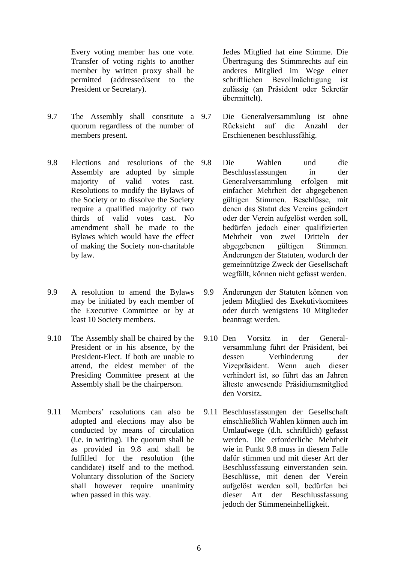Every voting member has one vote. Transfer of voting rights to another member by written proxy shall be permitted (addressed/sent to the President or Secretary).

- 9.7 The Assembly shall constitute a 9.7 quorum regardless of the number of members present.
- 9.8 Elections and resolutions of the Assembly are adopted by simple majority of valid votes cast. Resolutions to modify the Bylaws of the Society or to dissolve the Society require a qualified majority of two thirds of valid votes cast. No amendment shall be made to the Bylaws which would have the effect of making the Society non-charitable by law.
- 9.9 A resolution to amend the Bylaws may be initiated by each member of the Executive Committee or by at least 10 Society members.
- 9.10 The Assembly shall be chaired by the President or in his absence, by the President-Elect. If both are unable to attend, the eldest member of the Presiding Committee present at the Assembly shall be the chairperson.
- 9.11 Members' resolutions can also be adopted and elections may also be conducted by means of circulation (i.e. in writing). The quorum shall be as provided in 9.8 and shall be fulfilled for the resolution (the candidate) itself and to the method. Voluntary dissolution of the Society shall however require unanimity when passed in this way.

Jedes Mitglied hat eine Stimme. Die Übertragung des Stimmrechts auf ein anderes Mitglied im Wege einer schriftlichen Bevollmächtigung ist zulässig (an Präsident oder Sekretär übermittelt).

- Die Generalversammlung ist ohne Rücksicht auf die Anzahl der Erschienenen beschlussfähig.
- 9.8 Die Wahlen und die Beschlussfassungen in der Generalversammlung erfolgen mit einfacher Mehrheit der abgegebenen gültigen Stimmen. Beschlüsse, mit denen das Statut des Vereins geändert oder der Verein aufgelöst werden soll, bedürfen jedoch einer qualifizierten Mehrheit von zwei Dritteln der abgegebenen gültigen Stimmen. Änderungen der Statuten, wodurch der gemeinnützige Zweck der Gesellschaft wegfällt, können nicht gefasst werden.
- 9.9 Änderungen der Statuten können von jedem Mitglied des Exekutivkomitees oder durch wenigstens 10 Mitglieder beantragt werden.
- 9.10 Den Vorsitz in der Generalversammlung führt der Präsident, bei dessen Verhinderung der Vizepräsident. Wenn auch dieser verhindert ist, so führt das an Jahren älteste anwesende Präsidiumsmitglied den Vorsitz.
- 9.11 Beschlussfassungen der Gesellschaft einschließlich Wahlen können auch im Umlaufwege (d.h. schriftlich) gefasst werden. Die erforderliche Mehrheit wie in Punkt 9.8 muss in diesem Falle dafür stimmen und mit dieser Art der Beschlussfassung einverstanden sein. Beschlüsse, mit denen der Verein aufgelöst werden soll, bedürfen bei dieser Art der Beschlussfassung jedoch der Stimmeneinhelligkeit.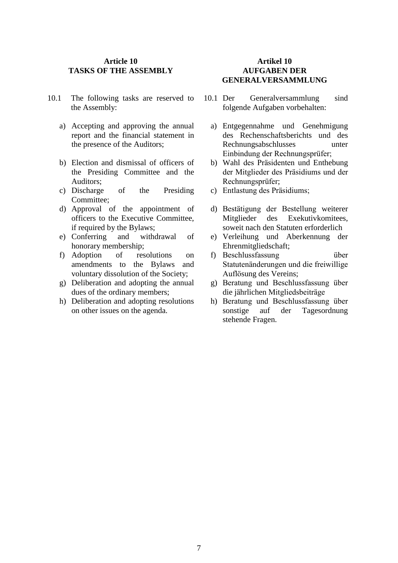## **Article 10 TASKS OF THE ASSEMBLY**

- 10.1 The following tasks are reserved to the Assembly:
	- a) Accepting and approving the annual report and the financial statement in the presence of the Auditors;
	- b) Election and dismissal of officers of the Presiding Committee and the Auditors;
	- c) Discharge of the Presiding Committee;
	- d) Approval of the appointment of officers to the Executive Committee, if required by the Bylaws;
	- e) Conferring and withdrawal of honorary membership;
	- f) Adoption of resolutions on amendments to the Bylaws and voluntary dissolution of the Society;
	- g) Deliberation and adopting the annual dues of the ordinary members;
	- h) Deliberation and adopting resolutions on other issues on the agenda.

# **Artikel 10 AUFGABEN DER GENERALVERSAMMLUNG**

- 10.1 Der Generalversammlung sind folgende Aufgaben vorbehalten:
	- a) Entgegennahme und Genehmigung des Rechenschaftsberichts und des Rechnungsabschlusses unter Einbindung der Rechnungsprüfer;
	- b) Wahl des Präsidenten und Enthebung der Mitglieder des Präsidiums und der Rechnungsprüfer;
	- c) Entlastung des Präsidiums;
	- d) Bestätigung der Bestellung weiterer Mitglieder des Exekutivkomitees, soweit nach den Statuten erforderlich
	- e) Verleihung und Aberkennung der Ehrenmitgliedschaft;
	- f) Beschlussfassung über Statutenänderungen und die freiwillige Auflösung des Vereins;
	- g) Beratung und Beschlussfassung über die jährlichen Mitgliedsbeiträge
	- h) Beratung und Beschlussfassung über sonstige auf der Tagesordnung stehende Fragen.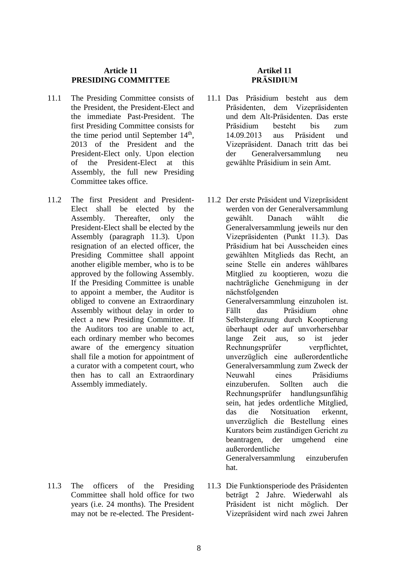# **Article 11 PRESIDING COMMITTEE**

- 11.1 The Presiding Committee consists of the President, the President-Elect and the immediate Past-President. The first Presiding Committee consists for the time period until September  $14<sup>th</sup>$ , 2013 of the President and the President-Elect only. Upon election of the President-Elect at this Assembly, the full new Presiding Committee takes office.
- 11.2 The first President and President-Elect shall be elected by the Assembly. Thereafter, only the President-Elect shall be elected by the Assembly (paragraph 11.3). Upon resignation of an elected officer, the Presiding Committee shall appoint another eligible member, who is to be approved by the following Assembly. If the Presiding Committee is unable to appoint a member, the Auditor is obliged to convene an Extraordinary Assembly without delay in order to elect a new Presiding Committee. If the Auditors too are unable to act each ordinary member who becomes aware of the emergency situation shall file a motion for appointment of a curator with a competent court, who then has to call an Extraordinary Assembly immediately.

11.3 The officers of the Presiding Committee shall hold office for two years (i.e. 24 months). The President

may not be re-elected. The President-

# **Artikel 11 PRÄSIDIUM**

- 11.1 Das Präsidium besteht aus dem Präsidenten, dem Vizepräsidenten und dem Alt-Präsidenten. Das erste Präsidium besteht bis zum 14.09.2013 aus Präsident und Vizepräsident. Danach tritt das bei der Generalversammlung neu gewählte Präsidium in sein Amt.
- 11.2 Der erste Präsident und Vizepräsident werden von der Generalversammlung gewählt. Danach wählt die Generalversammlung jeweils nur den Vizepräsidenten (Punkt 11.3). Das Präsidium hat bei Ausscheiden eines gewählten Mitglieds das Recht, an seine Stelle ein anderes wählbares Mitglied zu kooptieren, wozu die nachträgliche Genehmigung in der nächstfolgenden Generalversammlung einzuholen ist.

Fällt das Präsidium ohne Selbstergänzung durch Kooptierung überhaupt oder auf unvorhersehbar lange Zeit aus, so ist jeder Rechnungsprüfer verpflichtet, unverzüglich eine außerordentliche Generalversammlung zum Zweck der Neuwahl eines Präsidiums einzuberufen. Sollten auch die Rechnungsprüfer handlungsunfähig sein, hat jedes ordentliche Mitglied, das die Notsituation erkennt, unverzüglich die Bestellung eines Kurators beim zuständigen Gericht zu beantragen, der umgehend eine außerordentliche Generalversammlung einzuberufen hat.

11.3 Die Funktionsperiode des Präsidenten beträgt 2 Jahre. Wiederwahl als Präsident ist nicht möglich. Der Vizepräsident wird nach zwei Jahren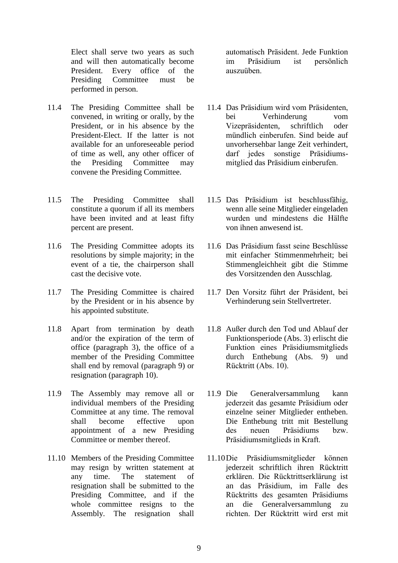Elect shall serve two years as such and will then automatically become President. Every office of the Presiding Committee must be performed in person.

- 11.4 The Presiding Committee shall be convened, in writing or orally, by the President, or in his absence by the President-Elect. If the latter is not available for an unforeseeable period of time as well, any other officer of the Presiding Committee may convene the Presiding Committee.
- 11.5 The Presiding Committee shall constitute a quorum if all its members have been invited and at least fifty percent are present.
- 11.6 The Presiding Committee adopts its resolutions by simple majority; in the event of a tie, the chairperson shall cast the decisive vote.
- 11.7 The Presiding Committee is chaired by the President or in his absence by his appointed substitute.
- 11.8 Apart from termination by death and/or the expiration of the term of office (paragraph 3), the office of a member of the Presiding Committee shall end by removal (paragraph 9) or resignation (paragraph 10).
- 11.9 The Assembly may remove all or individual members of the Presiding Committee at any time. The removal shall become effective upon appointment of a new Presiding Committee or member thereof.
- 11.10 Members of the Presiding Committee may resign by written statement at any time. The statement of resignation shall be submitted to the Presiding Committee, and if the whole committee resigns to the Assembly. The resignation shall

automatisch Präsident. Jede Funktion im Präsidium ist persönlich auszuüben.

- 11.4 Das Präsidium wird vom Präsidenten, bei Verhinderung vom Vizepräsidenten, schriftlich oder mündlich einberufen. Sind beide auf unvorhersehbar lange Zeit verhindert, darf jedes sonstige Präsidiumsmitglied das Präsidium einberufen.
- 11.5 Das Präsidium ist beschlussfähig, wenn alle seine Mitglieder eingeladen wurden und mindestens die Hälfte von ihnen anwesend ist.
- 11.6 Das Präsidium fasst seine Beschlüsse mit einfacher Stimmenmehrheit; bei Stimmengleichheit gibt die Stimme des Vorsitzenden den Ausschlag.
- 11.7 Den Vorsitz führt der Präsident, bei Verhinderung sein Stellvertreter.
- 11.8 Außer durch den Tod und Ablauf der Funktionsperiode (Abs. 3) erlischt die Funktion eines Präsidiumsmitglieds durch Enthebung (Abs. 9) und Rücktritt (Abs. 10).
- 11.9 Die Generalversammlung kann jederzeit das gesamte Präsidium oder einzelne seiner Mitglieder entheben. Die Enthebung tritt mit Bestellung des neuen Präsidiums bzw. Präsidiumsmitglieds in Kraft.
- 11.10Die Präsidiumsmitglieder können jederzeit schriftlich ihren Rücktritt erklären. Die Rücktrittserklärung ist an das Präsidium, im Falle des Rücktritts des gesamten Präsidiums an die Generalversammlung zu richten. Der Rücktritt wird erst mit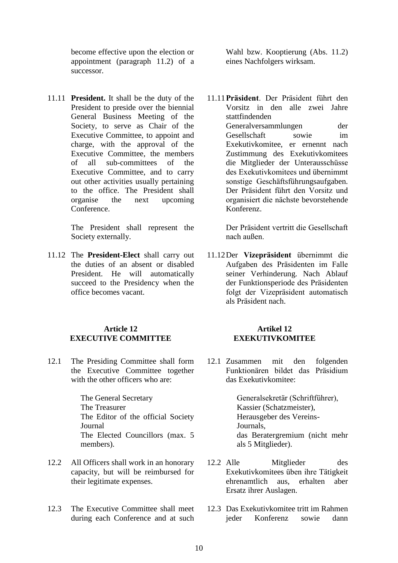become effective upon the election or appointment (paragraph 11.2) of a successor.

11.11 **President.** It shall be the duty of the President to preside over the biennial General Business Meeting of the Society, to serve as Chair of the Executive Committee, to appoint and charge, with the approval of the Executive Committee, the members of all sub-committees of the Executive Committee, and to carry out other activities usually pertaining to the office. The President shall organise the next upcoming Conference.

> The President shall represent the Society externally.

11.12 The **President-Elect** shall carry out the duties of an absent or disabled President. He will automatically succeed to the Presidency when the office becomes vacant.

## **Article 12 EXECUTIVE COMMITTEE**

12.1 The Presiding Committee shall form the Executive Committee together with the other officers who are:

> The General Secretary The Treasurer The Editor of the official Society Journal The Elected Councillors (max. 5 members).

- 12.2 All Officers shall work in an honorary capacity, but will be reimbursed for their legitimate expenses.
- 12.3 The Executive Committee shall meet during each Conference and at such

Wahl bzw. Kooptierung (Abs. 11.2) eines Nachfolgers wirksam.

11.11**Präsident**. Der Präsident führt den Vorsitz in den alle zwei Jahre stattfindenden Generalversammlungen der Gesellschaft sowie im Exekutivkomitee, er ernennt nach Zustimmung des Exekutivkomitees die Mitglieder der Unterausschüsse des Exekutivkomitees und übernimmt sonstige Geschäftsführungsaufgaben. Der Präsident führt den Vorsitz und organisiert die nächste bevorstehende Konferenz.

> Der Präsident vertritt die Gesellschaft nach außen.

11.12Der **Vizepräsident** übernimmt die Aufgaben des Präsidenten im Falle seiner Verhinderung. Nach Ablauf der Funktionsperiode des Präsidenten folgt der Vizepräsident automatisch als Präsident nach.

#### **Artikel 12 EXEKUTIVKOMITEE**

12.1 Zusammen mit den folgenden Funktionären bildet das Präsidium das Exekutivkomitee:

> Generalsekretär (Schriftführer), Kassier (Schatzmeister), Herausgeber des Vereins-Journals, das Beratergremium (nicht mehr als 5 Mitglieder).

- 12.2 Alle Mitglieder des Exekutivkomitees üben ihre Tätigkeit ehrenamtlich aus, erhalten aber Ersatz ihrer Auslagen.
- 12.3 Das Exekutivkomitee tritt im Rahmen jeder Konferenz sowie dann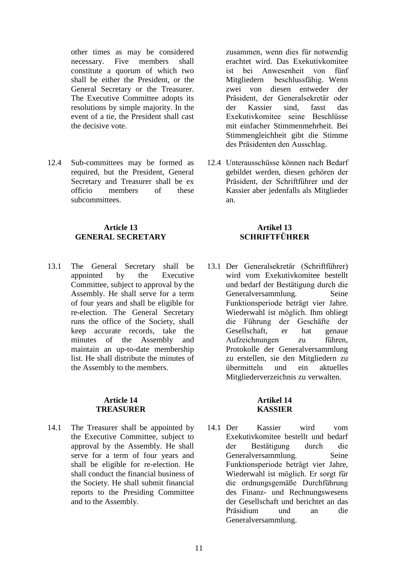other times as may be considered necessary. Five members shall constitute a quorum of which two shall be either the President, or the General Secretary or the Treasurer. The Executive Committee adopts its resolutions by simple majority. In the event of a tie, the President shall cast the decisive vote.

12.4 Sub-committees may be formed as required, but the President, General Secretary and Treasurer shall be ex officio members of these subcommittees.

# **Article 13 GENERAL SECRETARY**

13.1 The General Secretary shall be appointed by the Executive Committee, subject to approval by the Assembly. He shall serve for a term of four years and shall be eligible for re-election. The General Secretary runs the office of the Society, shall keep accurate records, take the minutes of the Assembly and maintain an up-to-date membership list. He shall distribute the minutes of the Assembly to the members.

#### **Article 14 TREASURER**

14.1 The Treasurer shall be appointed by the Executive Committee, subject to approval by the Assembly. He shall serve for a term of four years and shall be eligible for re-election. He shall conduct the financial business of the Society. He shall submit financial reports to the Presiding Committee and to the Assembly.

zusammen, wenn dies für notwendig erachtet wird. Das Exekutivkomitee ist bei Anwesenheit von fünf Mitgliedern beschlussfähig. Wenn zwei von diesen entweder der Präsident, der Generalsekretär oder der Kassier sind, fasst das Exekutivkomitee seine Beschlüsse mit einfacher Stimmenmehrheit. Bei Stimmengleichheit gibt die Stimme des Präsidenten den Ausschlag.

12.4 Unterausschüsse können nach Bedarf gebildet werden, diesen gehören der Präsident, der Schriftführer und der Kassier aber jedenfalls als Mitglieder an.

# **Artikel 13 SCHRIFTFÜHRER**

13.1 Der Generalsekretär (Schriftführer) wird vom Exekutivkomitee bestellt und bedarf der Bestätigung durch die Generalversammlung. Seine Funktionsperiode beträgt vier Jahre. Wiederwahl ist möglich. Ihm obliegt die Führung der Geschäfte der Gesellschaft, er hat genaue Aufzeichnungen zu führen, Protokolle der Generalversammlung zu erstellen, sie den Mitgliedern zu übermitteln und ein aktuelles Mitgliederverzeichnis zu verwalten.

## **Artikel 14 KASSIER**

14.1 Der Kassier wird vom Exekutivkomitee bestellt und bedarf der Bestätigung durch die Generalversammlung. Seine Funktionsperiode beträgt vier Jahre, Wiederwahl ist möglich. Er sorgt für die ordnungsgemäße Durchführung des Finanz- und Rechnungswesens der Gesellschaft und berichtet an das Präsidium und an die Generalversammlung.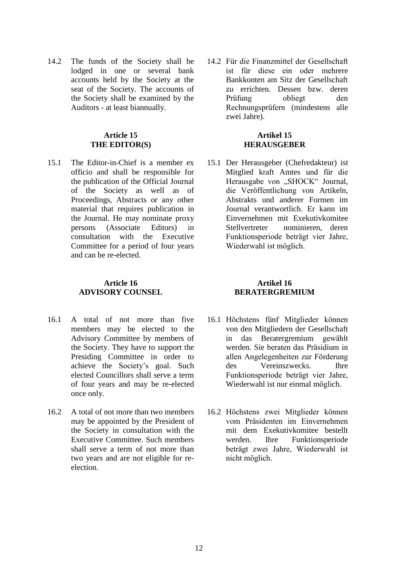14.2 The funds of the Society shall be lodged in one or several bank accounts held by the Society at the seat of the Society. The accounts of the Society shall be examined by the Auditors - at least biannually.

## **Article 15 THE EDITOR(S)**

15.1 The Editor-in-Chief is a member ex officio and shall be responsible for the publication of the Official Journal of the Society as well as of Proceedings, Abstracts or any other material that requires publication in the Journal. He may nominate proxy persons (Associate Editors) in consultation with the Executive Committee for a period of four years and can be re-elected.

## **Article 16 ADVISORY COUNSEL**

- 16.1 A total of not more than five members may be elected to the Advisory Committee by members of the Society. They have to support the Presiding Committee in order to achieve the Society's goal. Such elected Councillors shall serve a term of four years and may be re-elected once only.
- 16.2 A total of not more than two members may be appointed by the President of the Society in consultation with the Executive Committee. Such members shall serve a term of not more than two years and are not eligible for reelection.

14.2 Für die Finanzmittel der Gesellschaft ist für diese ein oder mehrere Bankkonten am Sitz der Gesellschaft zu errichten. Dessen bzw. deren Prüfung obliegt den Rechnungsprüfern (mindestens alle zwei Jahre).

## **Artikel 15 HERAUSGEBER**

15.1 Der Herausgeber (Chefredakteur) ist Mitglied kraft Amtes und für die Herausgabe von "SHOCK" Journal, die Veröffentlichung von Artikeln, Abstrakts und anderer Formen im Journal verantwortlich. Er kann im Einvernehmen mit Exekutivkomitee Stellvertreter nominieren, deren Funktionsperiode beträgt vier Jahre, Wiederwahl ist möglich.

#### **Artikel 16 BERATERGREMIUM**

- 16.1 Höchstens fünf Mitglieder können von den Mitgliedern der Gesellschaft in das Beratergremium gewählt werden. Sie beraten das Präsidium in allen Angelegenheiten zur Förderung des Vereinszwecks. Ihre Funktionsperiode beträgt vier Jahre, Wiederwahl ist nur einmal möglich.
- 16.2 Höchstens zwei Mitglieder können vom Präsidenten im Einvernehmen mit dem Exekutivkomitee bestellt werden. Ihre Funktionsperiode beträgt zwei Jahre, Wiederwahl ist nicht möglich.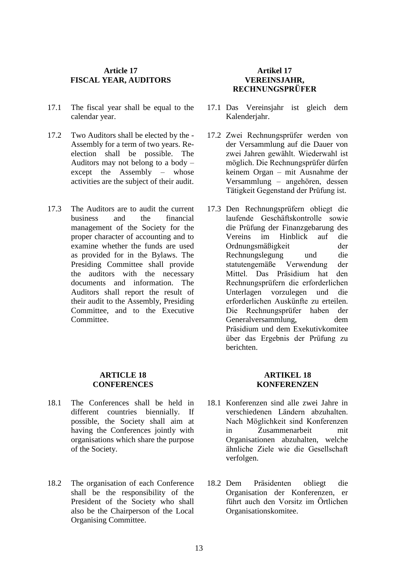# **Article 17 FISCAL YEAR, AUDITORS**

- 17.1 The fiscal year shall be equal to the calendar year.
- 17.2 Two Auditors shall be elected by the Assembly for a term of two years. Reelection shall be possible. The Auditors may not belong to a body – except the Assembly – whose activities are the subject of their audit.
- 17.3 The Auditors are to audit the current business and the financial management of the Society for the proper character of accounting and to examine whether the funds are used as provided for in the Bylaws. The Presiding Committee shall provide the auditors with the necessary documents and information. The Auditors shall report the result of their audit to the Assembly, Presiding Committee, and to the Executive Committee.

## **Artikel 17 VEREINSJAHR, RECHNUNGSPRÜFER**

- 17.1 Das Vereinsjahr ist gleich dem Kalenderjahr.
- 17.2 Zwei Rechnungsprüfer werden von der Versammlung auf die Dauer von zwei Jahren gewählt. Wiederwahl ist möglich. Die Rechnungsprüfer dürfen keinem Organ – mit Ausnahme der Versammlung – angehören, dessen Tätigkeit Gegenstand der Prüfung ist.
- 17.3 Den Rechnungsprüfern obliegt die laufende Geschäftskontrolle sowie die Prüfung der Finanzgebarung des Vereins im Hinblick auf die Ordnungsmäßigkeit der Rechnungslegung und die statutengemäße Verwendung der Mittel. Das Präsidium hat den Rechnungsprüfern die erforderlichen Unterlagen vorzulegen und die erforderlichen Auskünfte zu erteilen. Die Rechnungsprüfer haben der Generalversammlung, dem Präsidium und dem Exekutivkomitee über das Ergebnis der Prüfung zu berichten.

#### **ARTICLE 18 CONFERENCES**

- 18.1 The Conferences shall be held in different countries biennially. If possible, the Society shall aim at having the Conferences jointly with organisations which share the purpose of the Society.
- 18.2 The organisation of each Conference shall be the responsibility of the President of the Society who shall also be the Chairperson of the Local Organising Committee.

## **ARTIKEL 18 KONFERENZEN**

- 18.1 Konferenzen sind alle zwei Jahre in verschiedenen Ländern abzuhalten. Nach Möglichkeit sind Konferenzen in Zusammenarbeit mit Organisationen abzuhalten, welche ähnliche Ziele wie die Gesellschaft verfolgen.
- 18.2 Dem Präsidenten obliegt die Organisation der Konferenzen, er führt auch den Vorsitz im Örtlichen Organisationskomitee.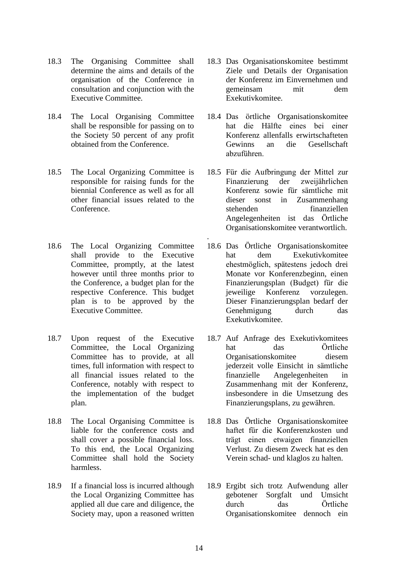- 18.3 The Organising Committee shall determine the aims and details of the organisation of the Conference in consultation and conjunction with the Executive Committee.
- 18.4 The Local Organising Committee shall be responsible for passing on to the Society 50 percent of any profit obtained from the Conference.
- 18.5 The Local Organizing Committee is responsible for raising funds for the biennial Conference as well as for all other financial issues related to the Conference.
- 18.6 The Local Organizing Committee shall provide to the Executive Committee, promptly, at the latest however until three months prior to the Conference, a budget plan for the respective Conference. This budget plan is to be approved by the Executive Committee.
- 18.7 Upon request of the Executive Committee, the Local Organizing Committee has to provide, at all times, full information with respect to all financial issues related to the Conference, notably with respect to the implementation of the budget plan.
- 18.8 The Local Organising Committee is liable for the conference costs and shall cover a possible financial loss. To this end, the Local Organizing Committee shall hold the Society harmless.
- 18.9 If a financial loss is incurred although the Local Organizing Committee has applied all due care and diligence, the Society may, upon a reasoned written
- 18.3 Das Organisationskomitee bestimmt Ziele und Details der Organisation der Konferenz im Einvernehmen und gemeinsam mit dem Exekutivkomitee.
- 18.4 Das örtliche Organisationskomitee hat die Hälfte eines bei einer Konferenz allenfalls erwirtschafteten Gewinns an die Gesellschaft abzuführen.
- 18.5 Für die Aufbringung der Mittel zur Finanzierung der zweijährlichen Konferenz sowie für sämtliche mit dieser sonst in Zusammenhang stehenden finanziellen Angelegenheiten ist das Örtliche Organisationskomitee verantwortlich.
- 18.6 Das Örtliche Organisationskomitee hat dem Exekutivkomitee ehestmöglich, spätestens jedoch drei Monate vor Konferenzbeginn, einen Finanzierungsplan (Budget) für die jeweilige Konferenz vorzulegen. Dieser Finanzierungsplan bedarf der Genehmigung durch das Exekutivkomitee.
- 18.7 Auf Anfrage des Exekutivkomitees hat das Örtliche Organisationskomitee diesem jederzeit volle Einsicht in sämtliche finanzielle Angelegenheiten in Zusammenhang mit der Konferenz, insbesondere in die Umsetzung des Finanzierungsplans, zu gewähren.
- 18.8 Das Örtliche Organisationskomitee haftet für die Konferenzkosten und trägt einen etwaigen finanziellen Verlust. Zu diesem Zweck hat es den Verein schad- und klaglos zu halten.
- 18.9 Ergibt sich trotz Aufwendung aller gebotener Sorgfalt und Umsicht durch das Örtliche Organisationskomitee dennoch ein

.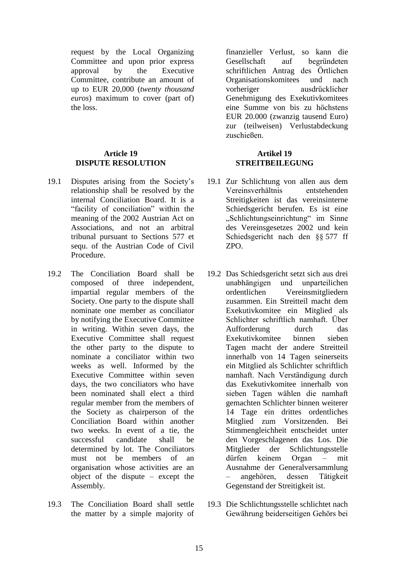request by the Local Organizing Committee and upon prior express approval by the Executive Committee, contribute an amount of up to EUR 20,000 (*twenty thousand euros*) maximum to cover (part of) the loss.

## **Article 19 DISPUTE RESOLUTION**

- 19.1 Disputes arising from the Society's relationship shall be resolved by the internal Conciliation Board. It is a "facility of conciliation" within the meaning of the 2002 Austrian Act on Associations, and not an arbitral tribunal pursuant to Sections 577 et sequ. of the Austrian Code of Civil Procedure.
- 19.2 The Conciliation Board shall be composed of three independent, impartial regular members of the Society. One party to the dispute shall nominate one member as conciliator by notifying the Executive Committee in writing. Within seven days, the Executive Committee shall request the other party to the dispute to nominate a conciliator within two weeks as well. Informed by the Executive Committee within seven days, the two conciliators who have been nominated shall elect a third regular member from the members of the Society as chairperson of the Conciliation Board within another two weeks. In event of a tie, the successful candidate shall be determined by lot. The Conciliators must not be members of an organisation whose activities are an object of the dispute – except the Assembly.
- 19.3 The Conciliation Board shall settle the matter by a simple majority of

finanzieller Verlust, so kann die Gesellschaft auf begründeten schriftlichen Antrag des Örtlichen Organisationskomitees und nach vorheriger ausdrücklicher Genehmigung des Exekutivkomitees eine Summe von bis zu höchstens EUR 20.000 (zwanzig tausend Euro) zur (teilweisen) Verlustabdeckung zuschießen.

## **Artikel 19 STREITBEILEGUNG**

- 19.1 Zur Schlichtung von allen aus dem Vereinsverhältnis entstehenden Streitigkeiten ist das vereinsinterne Schiedsgericht berufen. Es ist eine "Schlichtungseinrichtung" im Sinne des Vereinsgesetzes 2002 und kein Schiedsgericht nach den §§ 577 ff ZPO.
- 19.2 Das Schiedsgericht setzt sich aus drei unabhängigen und unparteilichen ordentlichen Vereinsmitgliedern zusammen. Ein Streitteil macht dem Exekutivkomitee ein Mitglied als Schlichter schriftlich namhaft. Über Aufforderung durch das Exekutivkomitee binnen sieben Tagen macht der andere Streitteil innerhalb von 14 Tagen seinerseits ein Mitglied als Schlichter schriftlich namhaft. Nach Verständigung durch das Exekutivkomitee innerhalb von sieben Tagen wählen die namhaft gemachten Schlichter binnen weiterer 14 Tage ein drittes ordentliches Mitglied zum Vorsitzenden. Bei Stimmengleichheit entscheidet unter den Vorgeschlagenen das Los. Die Mitglieder der Schlichtungsstelle dürfen keinem Organ – mit Ausnahme der Generalversammlung – angehören, dessen Tätigkeit Gegenstand der Streitigkeit ist.
- 19.3 Die Schlichtungsstelle schlichtet nach Gewährung beiderseitigen Gehörs bei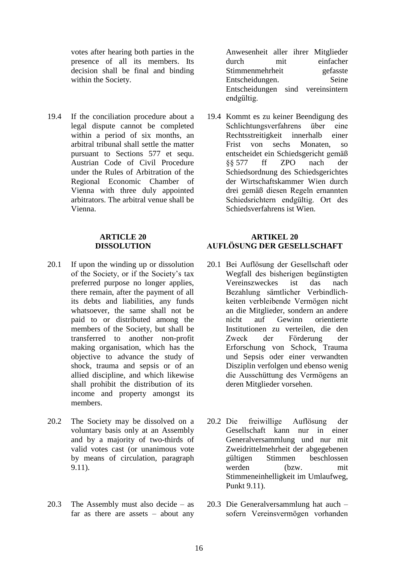votes after hearing both parties in the presence of all its members. Its decision shall be final and binding within the Society.

19.4 If the conciliation procedure about a legal dispute cannot be completed within a period of six months, an arbitral tribunal shall settle the matter pursuant to Sections 577 et sequ. Austrian Code of Civil Procedure under the Rules of Arbitration of the Regional Economic Chamber of Vienna with three duly appointed arbitrators. The arbitral venue shall be Vienna.

#### **ARTICLE 20 DISSOLUTION**

- 20.1 If upon the winding up or dissolution of the Society, or if the Society's tax preferred purpose no longer applies, there remain, after the payment of all its debts and liabilities, any funds whatsoever, the same shall not be paid to or distributed among the members of the Society, but shall be transferred to another non-profit making organisation, which has the objective to advance the study of shock, trauma and sepsis or of an allied discipline, and which likewise shall prohibit the distribution of its income and property amongst its members.
- 20.2 The Society may be dissolved on a voluntary basis only at an Assembly and by a majority of two-thirds of valid votes cast (or unanimous vote by means of circulation, paragraph 9.11).
- 20.3 The Assembly must also decide as far as there are assets  $-$  about any

Anwesenheit aller ihrer Mitglieder durch mit einfacher Stimmenmehrheit gefasste Entscheidungen. Seine Entscheidungen sind vereinsintern endgültig.

19.4 Kommt es zu keiner Beendigung des Schlichtungsverfahrens über eine Rechtsstreitigkeit innerhalb einer Frist von sechs Monaten, so entscheidet ein Schiedsgericht gemäß §§ 577 ff ZPO nach der Schiedsordnung des Schiedsgerichtes der Wirtschaftskammer Wien durch drei gemäß diesen Regeln ernannten Schiedsrichtern endgültig. Ort des Schiedsverfahrens ist Wien.

## **ARTIKEL 20 AUFLÖSUNG DER GESELLSCHAFT**

- 20.1 Bei Auflösung der Gesellschaft oder Wegfall des bisherigen begünstigten Vereinszweckes ist das nach Bezahlung sämtlicher Verbindlichkeiten verbleibende Vermögen nicht an die Mitglieder, sondern an andere nicht auf Gewinn orientierte Institutionen zu verteilen, die den Zweck der Förderung der Erforschung von Schock, Trauma und Sepsis oder einer verwandten Disziplin verfolgen und ebenso wenig die Ausschüttung des Vermögens an deren Mitglieder vorsehen.
- 20.2 Die freiwillige Auflösung der Gesellschaft kann nur in einer Generalversammlung und nur mit Zweidrittelmehrheit der abgegebenen gültigen Stimmen beschlossen werden (bzw. mit Stimmeneinhelligkeit im Umlaufweg, Punkt 9.11).
- 20.3 Die Generalversammlung hat auch sofern Vereinsvermögen vorhanden